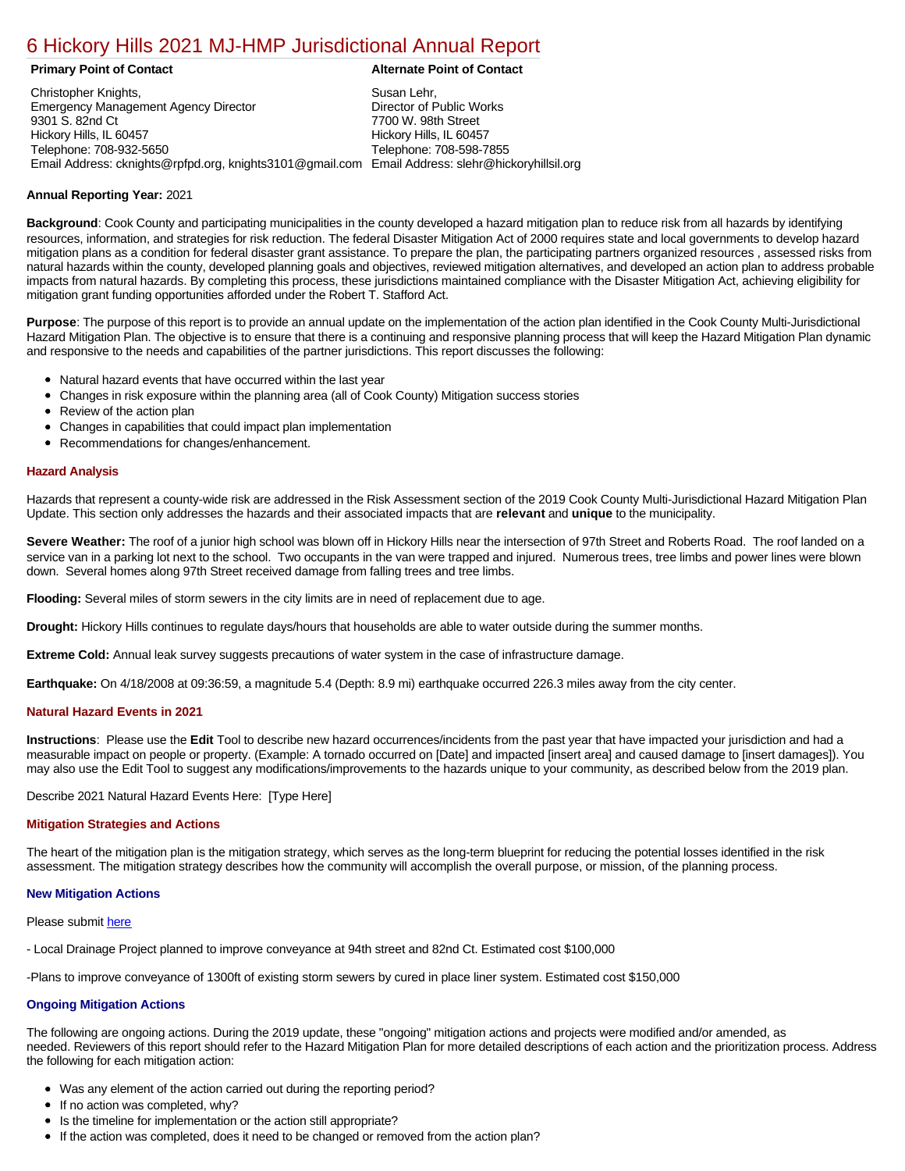# [6 Hickory Hills 2021 MJ-HMP Jurisdictional Annual Report](https://hickory.isc-cemp.com/Cemp/Details?id=8322836)

Christopher Knights, Emergency Management Agency Director 9301 S. 82nd Ct Hickory Hills, IL 60457 Telephone: 708-932-5650 Email Address: cknights@rpfpd.org, knights3101@gmail.com Email Address: slehr@hickoryhillsil.org Susan Lehr, Director of Public Works 7700 W. 98th Street Hickory Hills, IL 60457 Telephone: 708-598-7855

#### **Primary Point of Contact Alternate Point of Contact**

## **Annual Reporting Year:** 2021

**Background**: Cook County and participating municipalities in the county developed a hazard mitigation plan to reduce risk from all hazards by identifying resources, information, and strategies for risk reduction. The federal Disaster Mitigation Act of 2000 requires state and local governments to develop hazard mitigation plans as a condition for federal disaster grant assistance. To prepare the plan, the participating partners organized resources , assessed risks from natural hazards within the county, developed planning goals and objectives, reviewed mitigation alternatives, and developed an action plan to address probable impacts from natural hazards. By completing this process, these jurisdictions maintained compliance with the Disaster Mitigation Act, achieving eligibility for mitigation grant funding opportunities afforded under the Robert T. Stafford Act.

**Purpose**: The purpose of this report is to provide an annual update on the implementation of the action plan identified in the Cook County Multi-Jurisdictional Hazard Mitigation Plan. The objective is to ensure that there is a continuing and responsive planning process that will keep the Hazard Mitigation Plan dynamic and responsive to the needs and capabilities of the partner jurisdictions. This report discusses the following:

- Natural hazard events that have occurred within the last year
- Changes in risk exposure within the planning area (all of Cook County) Mitigation success stories
- Review of the action plan
- Changes in capabilities that could impact plan implementation
- Recommendations for changes/enhancement.

### **Hazard Analysis**

Hazards that represent a county-wide risk are addressed in the Risk Assessment section of the 2019 Cook County Multi-Jurisdictional Hazard Mitigation Plan Update. This section only addresses the hazards and their associated impacts that are **relevant** and **unique** to the municipality.

Severe Weather: The roof of a junior high school was blown off in Hickory Hills near the intersection of 97th Street and Roberts Road. The roof landed on a service van in a parking lot next to the school. Two occupants in the van were trapped and injured. Numerous trees, tree limbs and power lines were blown down. Several homes along 97th Street received damage from falling trees and tree limbs.

**Flooding:** Several miles of storm sewers in the city limits are in need of replacement due to age.

**Drought:** Hickory Hills continues to regulate days/hours that households are able to water outside during the summer months.

**Extreme Cold:** Annual leak survey suggests precautions of water system in the case of infrastructure damage.

**Earthquake:** On 4/18/2008 at 09:36:59, a magnitude 5.4 (Depth: 8.9 mi) earthquake occurred 226.3 miles away from the city center.

### **Natural Hazard Events in 2021**

**Instructions**: Please use the **Edit** Tool to describe new hazard occurrences/incidents from the past year that have impacted your jurisdiction and had a measurable impact on people or property. (Example: A tornado occurred on [Date] and impacted [insert area] and caused damage to [insert damages]). You may also use the Edit Tool to suggest any modifications/improvements to the hazards unique to your community, as described below from the 2019 plan.

Describe 2021 Natural Hazard Events Here: [Type Here]

### **Mitigation Strategies and Actions**

The heart of the mitigation plan is the mitigation strategy, which serves as the long-term blueprint for reducing the potential losses identified in the risk assessment. The mitigation strategy describes how the community will accomplish the overall purpose, or mission, of the planning process.

### **New Mitigation Actions**

Please submit here

- Local Drainage Project planned to improve conveyance at 94th street and 82nd Ct. Estimated cost \$100,000

-Plans to improve conveyance of 1300ft of existing storm sewers by cured in place liner system. Estimated cost \$150,000

### **Ongoing Mitigation Actions**

The following are ongoing actions. During the 2019 update, these "ongoing" mitigation actions and projects were modified and/or amended, as needed. Reviewers of this report should refer to the Hazard Mitigation Plan for more detailed descriptions of each action and the prioritization process. Address the following for each mitigation action:

- Was any element of the action carried out during the reporting period?
- If no action was completed, why?
- Is the timeline for implementation or the action still appropriate?
- If the action was completed, does it need to be changed or removed from the action plan?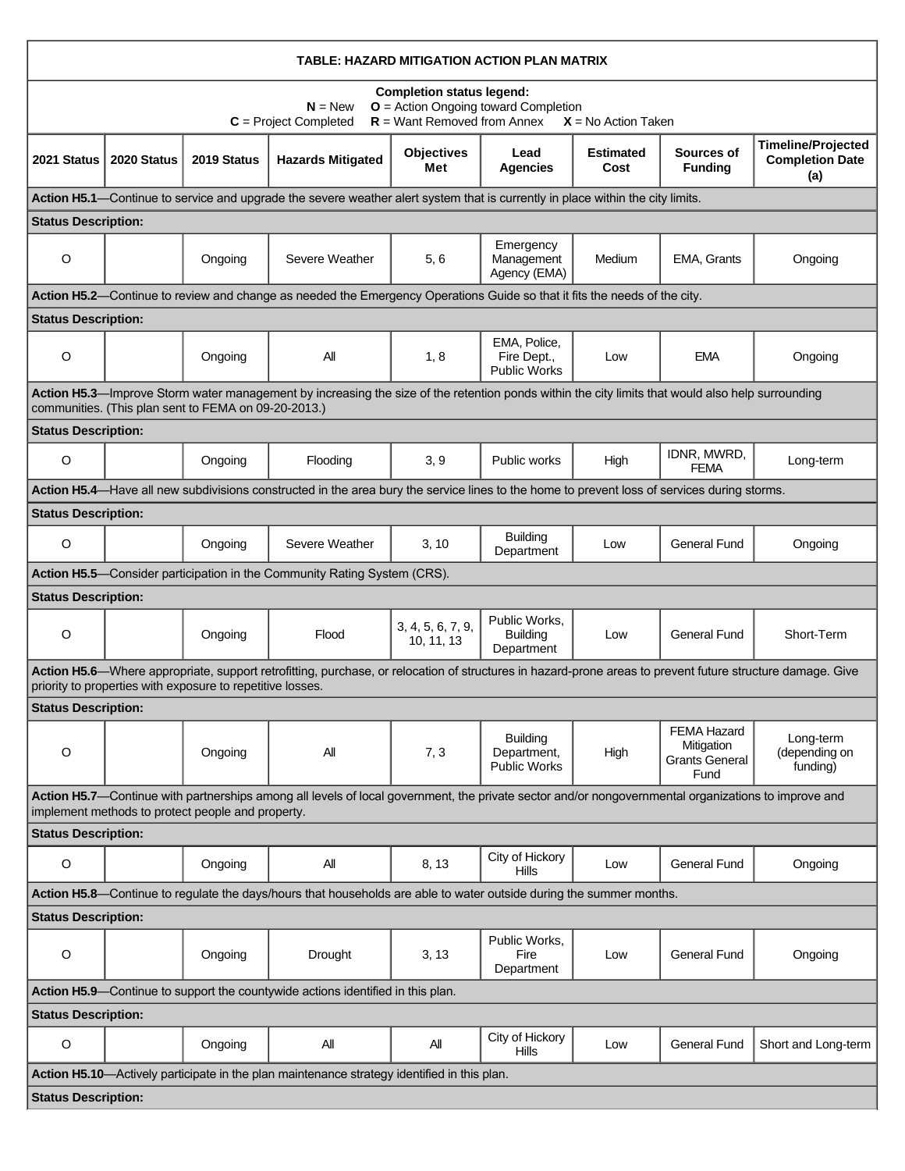| TABLE: HAZARD MITIGATION ACTION PLAN MATRIX                                                                                                                                                                             |             |             |                                                                                                                                             |                                 |                                                       |                          |                                                            |                                                            |  |  |  |  |
|-------------------------------------------------------------------------------------------------------------------------------------------------------------------------------------------------------------------------|-------------|-------------|---------------------------------------------------------------------------------------------------------------------------------------------|---------------------------------|-------------------------------------------------------|--------------------------|------------------------------------------------------------|------------------------------------------------------------|--|--|--|--|
| <b>Completion status legend:</b><br>O = Action Ongoing toward Completion<br>$N = New$<br>$R =$ Want Removed from Annex<br>$C = Project Completed$<br>$X = No$ Action Taken                                              |             |             |                                                                                                                                             |                                 |                                                       |                          |                                                            |                                                            |  |  |  |  |
| 2021 Status                                                                                                                                                                                                             | 2020 Status | 2019 Status | <b>Hazards Mitigated</b>                                                                                                                    | <b>Objectives</b><br>Met        | Lead<br><b>Agencies</b>                               | <b>Estimated</b><br>Cost | Sources of<br><b>Funding</b>                               | <b>Timeline/Projected</b><br><b>Completion Date</b><br>(a) |  |  |  |  |
| Action H5.1—Continue to service and upgrade the severe weather alert system that is currently in place within the city limits.                                                                                          |             |             |                                                                                                                                             |                                 |                                                       |                          |                                                            |                                                            |  |  |  |  |
| <b>Status Description:</b>                                                                                                                                                                                              |             |             |                                                                                                                                             |                                 |                                                       |                          |                                                            |                                                            |  |  |  |  |
| $\circ$                                                                                                                                                                                                                 |             | Ongoing     | Severe Weather                                                                                                                              | 5,6                             | Emergency<br>Management<br>Agency (EMA)               | Medium                   | <b>EMA, Grants</b>                                         | Ongoing                                                    |  |  |  |  |
| Action H5.2—Continue to review and change as needed the Emergency Operations Guide so that it fits the needs of the city.                                                                                               |             |             |                                                                                                                                             |                                 |                                                       |                          |                                                            |                                                            |  |  |  |  |
| <b>Status Description:</b>                                                                                                                                                                                              |             |             |                                                                                                                                             |                                 |                                                       |                          |                                                            |                                                            |  |  |  |  |
| O                                                                                                                                                                                                                       |             | Ongoing     | All                                                                                                                                         | 1, 8                            | EMA, Police,<br>Fire Dept.,<br><b>Public Works</b>    | Low                      | <b>EMA</b>                                                 | Ongoing                                                    |  |  |  |  |
| Action H5.3—Improve Storm water management by increasing the size of the retention ponds within the city limits that would also help surrounding<br>communities. (This plan sent to FEMA on 09-20-2013.)                |             |             |                                                                                                                                             |                                 |                                                       |                          |                                                            |                                                            |  |  |  |  |
| <b>Status Description:</b>                                                                                                                                                                                              |             |             |                                                                                                                                             |                                 |                                                       |                          |                                                            |                                                            |  |  |  |  |
| $\circ$                                                                                                                                                                                                                 |             | Ongoing     | Flooding                                                                                                                                    | 3, 9                            | Public works                                          | High                     | IDNR, MWRD,<br><b>FEMA</b>                                 | Long-term                                                  |  |  |  |  |
|                                                                                                                                                                                                                         |             |             | Action H5.4—Have all new subdivisions constructed in the area bury the service lines to the home to prevent loss of services during storms. |                                 |                                                       |                          |                                                            |                                                            |  |  |  |  |
| <b>Status Description:</b>                                                                                                                                                                                              |             |             |                                                                                                                                             |                                 |                                                       |                          |                                                            |                                                            |  |  |  |  |
| O                                                                                                                                                                                                                       |             | Ongoing     | Severe Weather                                                                                                                              | 3, 10                           | <b>Building</b><br>Department                         | Low                      | <b>General Fund</b>                                        | Ongoing                                                    |  |  |  |  |
|                                                                                                                                                                                                                         |             |             | Action H5.5—Consider participation in the Community Rating System (CRS).                                                                    |                                 |                                                       |                          |                                                            |                                                            |  |  |  |  |
| <b>Status Description:</b>                                                                                                                                                                                              |             |             |                                                                                                                                             |                                 |                                                       |                          |                                                            |                                                            |  |  |  |  |
| O                                                                                                                                                                                                                       |             | Ongoing     | Flood                                                                                                                                       | 3, 4, 5, 6, 7, 9,<br>10, 11, 13 | Public Works,<br><b>Building</b><br>Department        | Low                      | <b>General Fund</b>                                        | Short-Term                                                 |  |  |  |  |
| Action H5.6—Where appropriate, support retrofitting, purchase, or relocation of structures in hazard-prone areas to prevent future structure damage. Give<br>priority to properties with exposure to repetitive losses. |             |             |                                                                                                                                             |                                 |                                                       |                          |                                                            |                                                            |  |  |  |  |
| <b>Status Description:</b>                                                                                                                                                                                              |             |             |                                                                                                                                             |                                 |                                                       |                          |                                                            |                                                            |  |  |  |  |
| O                                                                                                                                                                                                                       |             | Ongoing     | All                                                                                                                                         | 7, 3                            | <b>Building</b><br>Department,<br><b>Public Works</b> | High                     | FEMA Hazard<br>Mitigation<br><b>Grants General</b><br>Fund | Long-term<br>(depending on<br>funding)                     |  |  |  |  |
| Action H5.7—Continue with partnerships among all levels of local government, the private sector and/or nongovernmental organizations to improve and<br>implement methods to protect people and property.                |             |             |                                                                                                                                             |                                 |                                                       |                          |                                                            |                                                            |  |  |  |  |
| <b>Status Description:</b>                                                                                                                                                                                              |             |             |                                                                                                                                             |                                 |                                                       |                          |                                                            |                                                            |  |  |  |  |
| O                                                                                                                                                                                                                       |             | Ongoing     | All                                                                                                                                         | 8, 13                           | City of Hickory<br><b>Hills</b>                       | Low                      | <b>General Fund</b>                                        | Ongoing                                                    |  |  |  |  |
|                                                                                                                                                                                                                         |             |             | Action H5.8-Continue to regulate the days/hours that households are able to water outside during the summer months.                         |                                 |                                                       |                          |                                                            |                                                            |  |  |  |  |
| <b>Status Description:</b>                                                                                                                                                                                              |             |             |                                                                                                                                             |                                 |                                                       |                          |                                                            |                                                            |  |  |  |  |
| $\mathsf O$                                                                                                                                                                                                             |             | Ongoing     | Drought                                                                                                                                     | 3, 13                           | Public Works,<br>Fire<br>Department                   | Low                      | <b>General Fund</b>                                        | Ongoing                                                    |  |  |  |  |
| Action H5.9-Continue to support the countywide actions identified in this plan.                                                                                                                                         |             |             |                                                                                                                                             |                                 |                                                       |                          |                                                            |                                                            |  |  |  |  |
| <b>Status Description:</b>                                                                                                                                                                                              |             |             |                                                                                                                                             |                                 |                                                       |                          |                                                            |                                                            |  |  |  |  |
| $\mathsf O$                                                                                                                                                                                                             |             | Ongoing     | All                                                                                                                                         | All                             | City of Hickory<br><b>Hills</b>                       | Low                      | <b>General Fund</b>                                        | Short and Long-term                                        |  |  |  |  |
|                                                                                                                                                                                                                         |             |             | Action H5.10—Actively participate in the plan maintenance strategy identified in this plan.                                                 |                                 |                                                       |                          |                                                            |                                                            |  |  |  |  |
| <b>Status Description:</b>                                                                                                                                                                                              |             |             |                                                                                                                                             |                                 |                                                       |                          |                                                            |                                                            |  |  |  |  |